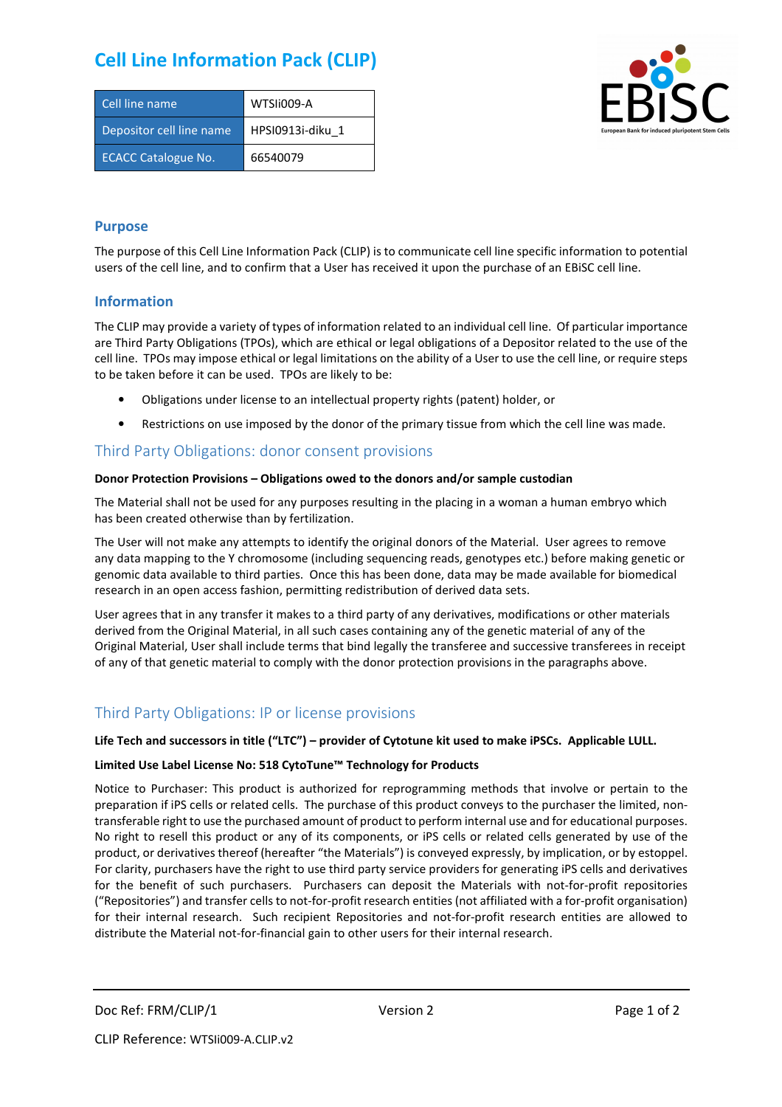# **Cell Line Information Pack (CLIP)**

| Cell line name             | WTSIi009-A       |
|----------------------------|------------------|
| Depositor cell line name   | HPSI0913i-diku 1 |
| <b>ECACC Catalogue No.</b> | 66540079         |



#### **Purpose**

The purpose of this Cell Line Information Pack (CLIP) is to communicate cell line specific information to potential users of the cell line, and to confirm that a User has received it upon the purchase of an EBiSC cell line.

#### **Information**

The CLIP may provide a variety of types of information related to an individual cell line. Of particular importance are Third Party Obligations (TPOs), which are ethical or legal obligations of a Depositor related to the use of the cell line. TPOs may impose ethical or legal limitations on the ability of a User to use the cell line, or require steps to be taken before it can be used. TPOs are likely to be:

- Obligations under license to an intellectual property rights (patent) holder, or
- Restrictions on use imposed by the donor of the primary tissue from which the cell line was made.

### Third Party Obligations: donor consent provisions

#### **Donor Protection Provisions – Obligations owed to the donors and/or sample custodian**

The Material shall not be used for any purposes resulting in the placing in a woman a human embryo which has been created otherwise than by fertilization.

The User will not make any attempts to identify the original donors of the Material. User agrees to remove any data mapping to the Y chromosome (including sequencing reads, genotypes etc.) before making genetic or genomic data available to third parties. Once this has been done, data may be made available for biomedical research in an open access fashion, permitting redistribution of derived data sets.

User agrees that in any transfer it makes to a third party of any derivatives, modifications or other materials derived from the Original Material, in all such cases containing any of the genetic material of any of the Original Material, User shall include terms that bind legally the transferee and successive transferees in receipt of any of that genetic material to comply with the donor protection provisions in the paragraphs above.

## Third Party Obligations: IP or license provisions

#### **Life Tech and successors in title ("LTC") – provider of Cytotune kit used to make iPSCs. Applicable LULL.**

#### **Limited Use Label License No: 518 CytoTune™ Technology for Products**

Notice to Purchaser: This product is authorized for reprogramming methods that involve or pertain to the preparation if iPS cells or related cells. The purchase of this product conveys to the purchaser the limited, nontransferable right to use the purchased amount of product to perform internal use and for educational purposes. No right to resell this product or any of its components, or iPS cells or related cells generated by use of the product, or derivatives thereof (hereafter "the Materials") is conveyed expressly, by implication, or by estoppel. For clarity, purchasers have the right to use third party service providers for generating iPS cells and derivatives for the benefit of such purchasers. Purchasers can deposit the Materials with not-for-profit repositories ("Repositories") and transfer cells to not-for-profit research entities (not affiliated with a for-profit organisation) for their internal research. Such recipient Repositories and not-for-profit research entities are allowed to distribute the Material not-for-financial gain to other users for their internal research.

Doc Ref: FRM/CLIP/1 Version 2 Version 2 Page 1 of 2